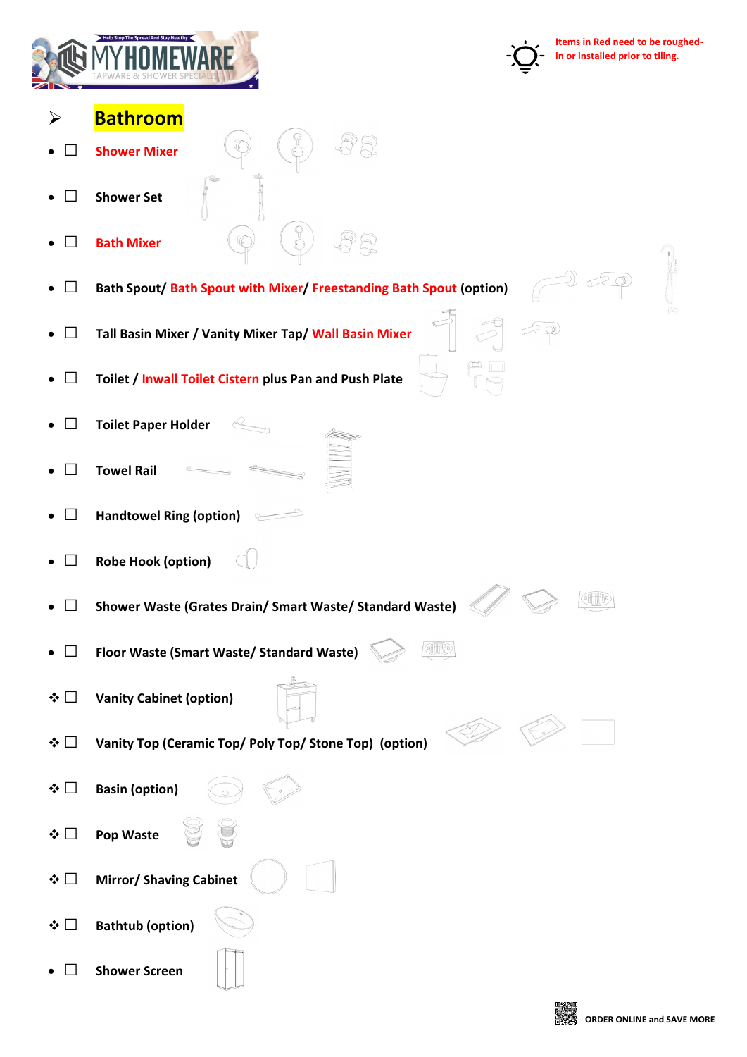







❖ **□ Basin (option)**



 $\vee$ 



## ❖ **□ Mirror/ Shaving Cabinet**